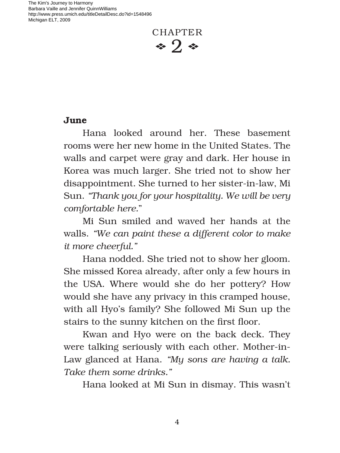The Kim's Journey to Harmony Barbara Vaille and Jennifer QuinnWilliams http://www.press.umich.edu/titleDetailDesc.do?id=1548496 Michigan ELT, 2009

**CHAPTER**  $\bullet$  2  $\bullet$ 

## **June**

Hana looked around her. These basement rooms were her new home in the United States. The walls and carpet were gray and dark. Her house in Korea was much larger. She tried not to show her disappointment. She turned to her sister-in-law, Mi Sun. *"Thank you for your hospitality. We will be very comfortable here.*"

Mi Sun smiled and waved her hands at the walls. *"We can paint these a different color to make it more cheerful."*

Hana nodded. She tried not to show her gloom. She missed Korea already, after only a few hours in the USA. Where would she do her pottery? How would she have any privacy in this cramped house, with all Hyo's family? She followed Mi Sun up the stairs to the sunny kitchen on the first floor.

Kwan and Hyo were on the back deck. They were talking seriously with each other. Mother-in-Law glanced at Hana. *"My sons are having a talk. Take them some drinks."*

Hana looked at Mi Sun in dismay. This wasn't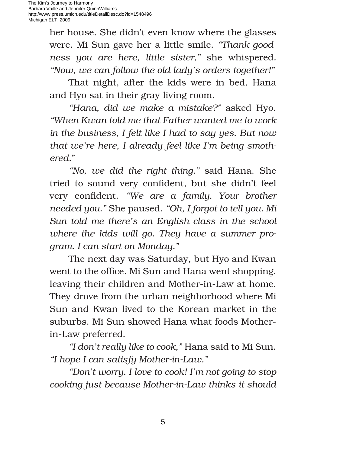her house. She didn't even know where the glasses were. Mi Sun gave her a little smile. *"Thank goodness you are here, little sister,"* she whispered*. "Now, we can follow the old lady's orders together!"* 

That night, after the kids were in bed, Hana and Hyo sat in their gray living room.

*"Hana, did we make a mistake?"* asked Hyo. *"When Kwan told me that Father wanted me to work in the business, I felt like I had to say yes. But now that we're here, I already feel like I'm being smothered.*"

*"No, we did the right thing,"* said Hana. She tried to sound very confident, but she didn't feel very confident. *"We are a family. Your brother needed you."* She paused. *"Oh, I forgot to tell you. Mi Sun told me there's an English class in the school where the kids will go. They have a summer program. I can start on Monday."*

The next day was Saturday, but Hyo and Kwan went to the office. Mi Sun and Hana went shopping, leaving their children and Mother-in-Law at home. They drove from the urban neighborhood where Mi Sun and Kwan lived to the Korean market in the suburbs. Mi Sun showed Hana what foods Motherin-Law preferred.

*"I don't really like to cook,"* Hana said to Mi Sun. *"I hope I can satisfy Mother-in-Law."*

*"Don't worry. I love to cook! I'm not going to stop cooking just because Mother-in-Law thinks it should*